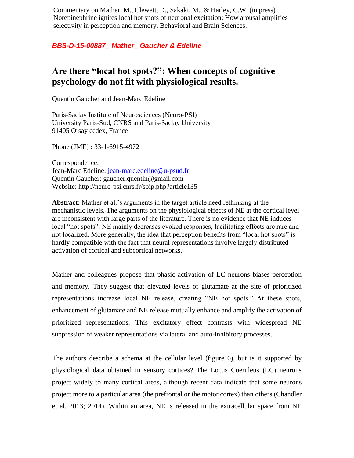Commentary on Mather, M., Clewett, D., Sakaki, M., & Harley, C.W. (in press). Norepinephrine ignites local hot spots of neuronal excitation: How arousal amplifies selectivity in perception and memory. Behavioral and Brain Sciences.

## *BBS-D-15-00887\_ Mather\_ Gaucher & Edeline*

## **Are there "local hot spots?": When concepts of cognitive psychology do not fit with physiological results.**

Quentin Gaucher and Jean-Marc Edeline

Paris-Saclay Institute of Neurosciences (Neuro-PSI) University Paris-Sud, CNRS and Paris-Saclay University 91405 Orsay cedex, France

Phone (JME) : 33-1-6915-4972

Correspondence: Jean-Marc Edeline: [jean-marc.edeline@u-psud.fr](mailto:jean-marc.edeline@u-psud.fr) Quentin Gaucher: gaucher.quentin@gmail.com Website: http://neuro-psi.cnrs.fr/spip.php?article135

**Abstract:** Mather et al.'s arguments in the target article need rethinking at the mechanistic levels. The arguments on the physiological effects of NE at the cortical level are inconsistent with large parts of the literature. There is no evidence that NE induces local "hot spots": NE mainly decreases evoked responses, facilitating effects are rare and not localized. More generally, the idea that perception benefits from "local hot spots" is hardly compatible with the fact that neural representations involve largely distributed activation of cortical and subcortical networks.

Mather and colleagues propose that phasic activation of LC neurons biases perception and memory. They suggest that elevated levels of glutamate at the site of prioritized representations increase local NE release, creating "NE hot spots." At these spots, enhancement of glutamate and NE release mutually enhance and amplify the activation of prioritized representations. This excitatory effect contrasts with widespread NE suppression of weaker representations via lateral and auto-inhibitory processes.

The authors describe a schema at the cellular level (figure 6), but is it supported by physiological data obtained in sensory cortices? The Locus Coeruleus (LC) neurons project widely to many cortical areas, although recent data indicate that some neurons project more to a particular area (the prefrontal or the motor cortex) than others (Chandler et al. 2013; 2014). Within an area, NE is released in the extracellular space from NE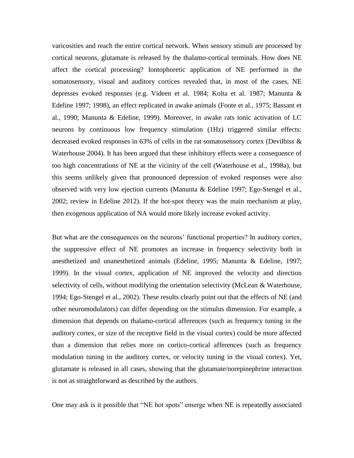varicosities and reach the entire cortical network. When sensory stimuli are processed by cortical neurons, glutamate is released by the thalamo-cortical terminals. How does NE affect the cortical processing? Iontophoretic application of NE performed in the somatosensory, visual and auditory cortices revealed that, in most of the cases, NE depresses evoked responses (e.g. Videen et al. 1984; Kolta et al. 1987; Manunta & Edeline 1997; 1998), an effect replicated in awake animals (Foote et al., 1975; Bassant et al., 1990; Manunta & Edeline, 1999). Moreover, in awake rats tonic activation of LC neurons by continuous low frequency stimulation (1Hz) triggered similar effects: decreased evoked responses in 63% of cells in the rat somatosensory cortex (Devilbiss & Waterhouse 2004). It has been argued that these inhibitory effects were a consequence of too high concentrations of NE at the vicinity of the cell (Waterhouse et al., 1998a), but this seems unlikely given that pronounced depression of evoked responses were also observed with very low ejection currents (Manunta & Edeline 1997; Ego-Stengel et al., 2002; review in Edeline 2012). If the hot-spot theory was the main mechanism at play, then exogenous application of NA would more likely increase evoked activity.

But what are the consequences on the neurons' functional properties? In auditory cortex, the suppressive effect of NE promotes an increase in frequency selectivity both in anesthetized and unanesthetized animals (Edeline, 1995; Manunta & Edeline, 1997; 1999). In the visual cortex, application of NE improved the velocity and direction selectivity of cells, without modifying the orientation selectivity (McLean & Waterhouse, 1994; Ego-Stengel et al., 2002). These results clearly point out that the effects of NE (and other neuromodulators) can differ depending on the stimulus dimension. For example, a dimension that depends on thalamo-cortical afferences (such as frequency tuning in the auditory cortex, or size of the receptive field in the visual cortex) could be more affected than a dimension that relies more on cortico-cortical afferences (such as frequency modulation tuning in the auditory cortex, or velocity tuning in the visual cortex). Yet, glutamate is released in all cases, showing that the glutamate/norepinephrine interaction is not as straightforward as described by the authors.

One may ask is it possible that "NE hot spots" emerge when NE is repeatedly associated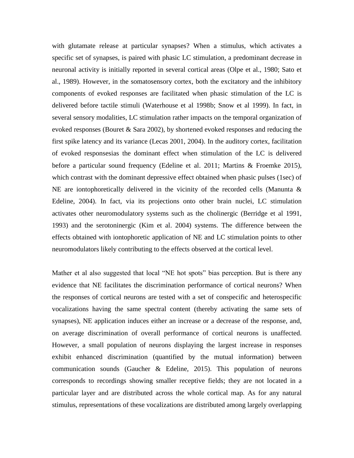with glutamate release at particular synapses? When a stimulus, which activates a specific set of synapses, is paired with phasic LC stimulation, a predominant decrease in neuronal activity is initially reported in several cortical areas (Olpe et al., 1980; Sato et al., 1989). However, in the somatosensory cortex, both the excitatory and the inhibitory components of evoked responses are facilitated when phasic stimulation of the LC is delivered before tactile stimuli (Waterhouse et al 1998b; Snow et al 1999). In fact, in several sensory modalities, LC stimulation rather impacts on the temporal organization of evoked responses (Bouret & Sara 2002), by shortened evoked responses and reducing the first spike latency and its variance (Lecas 2001, 2004). In the auditory cortex, facilitation of evoked responsesias the dominant effect when stimulation of the LC is delivered before a particular sound frequency (Edeline et al. 2011; Martins & Froemke 2015), which contrast with the dominant depressive effect obtained when phasic pulses (1sec) of NE are iontophoretically delivered in the vicinity of the recorded cells (Manunta & Edeline, 2004). In fact, via its projections onto other brain nuclei, LC stimulation activates other neuromodulatory systems such as the cholinergic (Berridge et al 1991, 1993) and the serotoninergic (Kim et al. 2004) systems. The difference between the effects obtained with iontophoretic application of NE and LC stimulation points to other neuromodulators likely contributing to the effects observed at the cortical level.

Mather et al also suggested that local "NE hot spots" bias perception. But is there any evidence that NE facilitates the discrimination performance of cortical neurons? When the responses of cortical neurons are tested with a set of conspecific and heterospecific vocalizations having the same spectral content (thereby activating the same sets of synapses), NE application induces either an increase or a decrease of the response, and, on average discrimination of overall performance of cortical neurons is unaffected. However, a small population of neurons displaying the largest increase in responses exhibit enhanced discrimination (quantified by the mutual information) between communication sounds (Gaucher & Edeline, 2015). This population of neurons corresponds to recordings showing smaller receptive fields; they are not located in a particular layer and are distributed across the whole cortical map. As for any natural stimulus, representations of these vocalizations are distributed among largely overlapping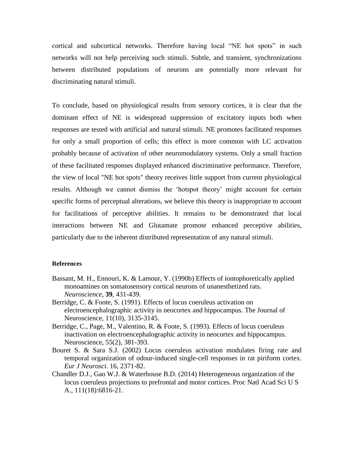cortical and subcortical networks. Therefore having local "NE hot spots" in such networks will not help perceiving such stimuli. Subtle, and transient, synchronizations between distributed populations of neurons are potentially more relevant for discriminating natural stimuli.

To conclude, based on physiological results from sensory cortices, it is clear that the dominant effect of NE is widespread suppression of excitatory inputs both when responses are tested with artificial and natural stimuli. NE promotes facilitated responses for only a small proportion of cells; this effect is more common with LC activation probably because of activation of other neuromodulatory systems. Only a small fraction of these facilitated responses displayed enhanced discriminative performance. Therefore, the view of local "NE hot spots" theory receives little support from current physiological results. Although we cannot dismiss the 'hotspot theory' might account for certain specific forms of perceptual alterations, we believe this theory is inappropriate to account for facilitations of perceptive abilities. It remains to be demonstrated that local interactions between NE and Glutamate promote enhanced perceptive abilities, particularly due to the inherent distributed representation of any natural stimuli.

## **References**

- Bassant, M. H., Ennouri, K. & Lamour, Y. (1990b) Effects of iontophoretically applied monoamines on somatosensory cortical neurons of unanesthetized rats. *Neuroscience*, **39**, 431-439.
- Berridge, C. & Foote, S. (1991). Effects of locus coeruleus activation on electroencephalographic activity in neocortex and hippocampus. The Journal of Neuroscience, 11(10), 3135-3145.
- Berridge, C., Page, M., Valentino, R. & Foote, S. (1993). Effects of locus coeruleus inactivation on electroencephalographic activity in neocortex and hippocampus. Neuroscience, 55(2), 381-393.
- Bouret S. & Sara S.J. (2002) Locus coeruleus activation modulates firing rate and temporal organization of odour-induced single-cell responses in rat piriform cortex. *Eur J Neurosci*. 16, 2371-82.
- Chandler D.J., Gao W.J. & Waterhouse B.D. (2014) Heterogeneous organization of the locus coeruleus projections to prefrontal and motor cortices. Proc Natl Acad Sci U S A., 111(18):6816-21.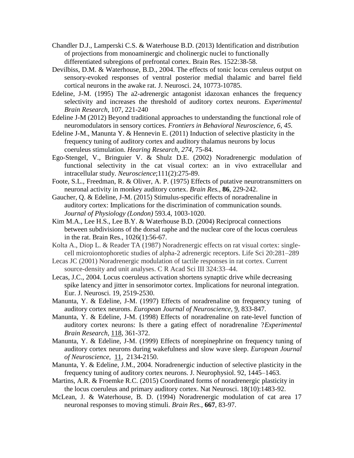- Chandler D.J., Lamperski C.S. & Waterhouse B.D. (2013) Identification and distribution of projections from monoaminergic and cholinergic nuclei to functionally differentiated subregions of prefrontal cortex. Brain Res. 1522:38-58.
- Devilbiss, D.M. & Waterhouse, B.D., 2004. The effects of tonic locus ceruleus output on sensory-evoked responses of ventral posterior medial thalamic and barrel field cortical neurons in the awake rat. J. Neurosci. 24, 10773-10785.
- Edeline, J-M. (1995) The a2-adrenergic antagonist idazoxan enhances the frequency selectivity and increases the threshold of auditory cortex neurons. *Experimental Brain Research,* 107, 221-240
- Edeline J-M (2012) Beyond traditional approaches to understanding the functional role of neuromodulators in sensory cortices. *Frontiers in Behavioral Neuroscience, 6, 45.*
- Edeline J-M., Manunta Y. & Hennevin E. (2011) Induction of selective plasticity in the frequency tuning of auditory cortex and auditory thalamus neurons by locus coeruleus stimulation. *Hearing Research, 274,* 75-84.
- Ego-Stengel, V., Bringuier V. & Shulz D.E. (2002) Noradrenergic modulation of functional selectivity in the cat visual cortex: an in vivo extracellular and intracellular study. *Neuroscience*;111(2):275-89.
- Foote, S.L., Freedman, R. & Oliver, A. P. (1975) Effects of putative neurotransmitters on neuronal activity in monkey auditory cortex. *Brain Res.*, **86**, 229-242.
- Gaucher, Q. & Edeline, J-M. (2015) Stimulus-specific effects of noradrenaline in auditory cortex: Implications for the discrimination of communication sounds. *Journal of Physiology (London)* 593.4, 1003-1020.
- Kim M.A., Lee H.S., Lee B.Y. & Waterhouse B.D. (2004) Reciprocal connections between subdivisions of the dorsal raphe and the nuclear core of the locus coeruleus in the rat. Brain Res., 1026(1):56-67.
- Kolta A., Diop L. & Reader TA (1987) Noradrenergic effects on rat visual cortex: singlecell microiontophoretic studies of alpha-2 adrenergic receptors. Life Sci 20:281–289
- Lecas JC (2001) Noradrenergic modulation of tactile responses in rat cortex. Current source-density and unit analyses. C R Acad Sci III 324:33–44.
- Lecas, J.C., 2004. Locus coeruleus activation shortens synaptic drive while decreasing spike latency and jitter in sensorimotor cortex. Implications for neuronal integration. Eur. J. Neurosci. 19, 2519-2530.
- Manunta, Y. & Edeline, J-M. (1997) Effects of noradrenaline on frequency tuning of auditory cortex neurons. *European Journal of Neuroscience*, 9, 833-847.
- Manunta, Y. & Edeline, J-M. (1998) Effects of noradrenaline on rate-level function of auditory cortex neurons: Is there a gating effect of noradrenaline ?*Experimental Brain Research,* 118, 361-372.
- Manunta, Y. & Edeline, J-M. (1999) Effects of norepinephrine on frequency tuning of auditory cortex neurons during wakefulness and slow wave sleep. *European Journal of Neuroscience,* 11, 2134-2150.
- Manunta, Y. & Edeline, J.M., 2004. Noradrenergic induction of selective plasticity in the frequency tuning of auditory cortex neurons. J. Neurophysiol. 92, 1445–1463.
- Martins, A.R. & Froemke R.C. (2015) Coordinated forms of noradrenergic plasticity in the locus coeruleus and primary auditory cortex. Nat Neurosci. 18(10):1483-92.
- McLean, J. & Waterhouse, B. D. (1994) Noradrenergic modulation of cat area 17 neuronal responses to moving stimuli. *Brain Res.*, **667**, 83-97.